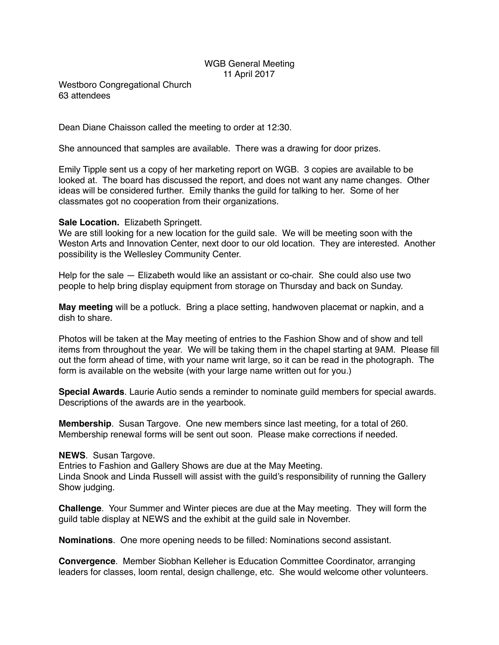## WGB General Meeting 11 April 2017

Westboro Congregational Church 63 attendees

Dean Diane Chaisson called the meeting to order at 12:30.

She announced that samples are available. There was a drawing for door prizes.

Emily Tipple sent us a copy of her marketing report on WGB. 3 copies are available to be looked at. The board has discussed the report, and does not want any name changes. Other ideas will be considered further. Emily thanks the guild for talking to her. Some of her classmates got no cooperation from their organizations.

## **Sale Location.** Elizabeth Springett.

We are still looking for a new location for the guild sale. We will be meeting soon with the Weston Arts and Innovation Center, next door to our old location. They are interested. Another possibility is the Wellesley Community Center.

Help for the sale — Elizabeth would like an assistant or co-chair. She could also use two people to help bring display equipment from storage on Thursday and back on Sunday.

**May meeting** will be a potluck. Bring a place setting, handwoven placemat or napkin, and a dish to share.

Photos will be taken at the May meeting of entries to the Fashion Show and of show and tell items from throughout the year. We will be taking them in the chapel starting at 9AM. Please fill out the form ahead of time, with your name writ large, so it can be read in the photograph. The form is available on the website (with your large name written out for you.)

**Special Awards**. Laurie Autio sends a reminder to nominate guild members for special awards. Descriptions of the awards are in the yearbook.

**Membership**. Susan Targove. One new members since last meeting, for a total of 260. Membership renewal forms will be sent out soon. Please make corrections if needed.

## **NEWS**. Susan Targove.

Entries to Fashion and Gallery Shows are due at the May Meeting. Linda Snook and Linda Russell will assist with the guild's responsibility of running the Gallery Show judging.

**Challenge**. Your Summer and Winter pieces are due at the May meeting. They will form the guild table display at NEWS and the exhibit at the guild sale in November.

**Nominations**. One more opening needs to be filled: Nominations second assistant.

**Convergence**. Member Siobhan Kelleher is Education Committee Coordinator, arranging leaders for classes, loom rental, design challenge, etc. She would welcome other volunteers.